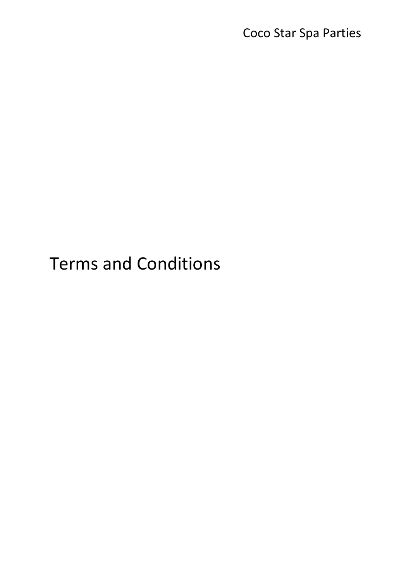Coco Star Spa Parties

Terms and Conditions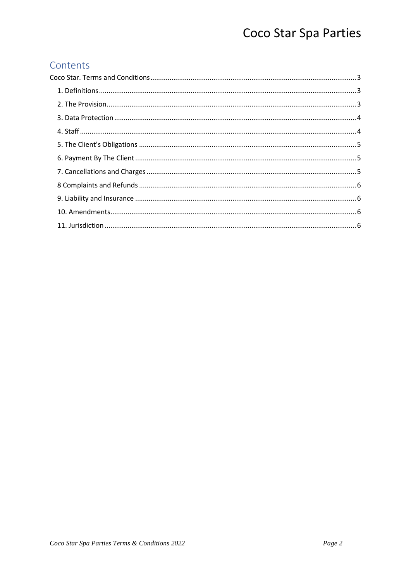## Coco Star Spa Parties

#### Contents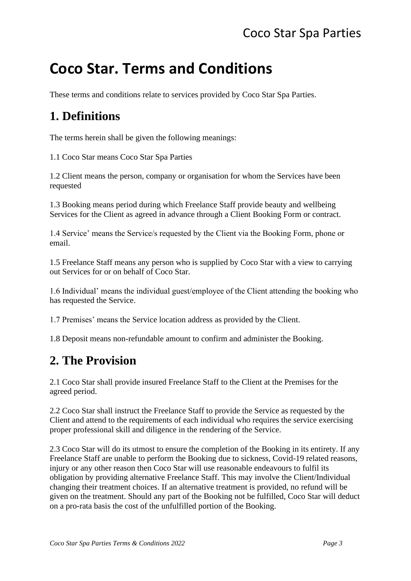# <span id="page-2-0"></span>**Coco Star. Terms and Conditions**

These terms and conditions relate to services provided by Coco Star Spa Parties.

#### <span id="page-2-1"></span>**1. Definitions**

The terms herein shall be given the following meanings:

1.1 Coco Star means Coco Star Spa Parties

1.2 Client means the person, company or organisation for whom the Services have been requested

1.3 Booking means period during which Freelance Staff provide beauty and wellbeing Services for the Client as agreed in advance through a Client Booking Form or contract.

1.4 Service' means the Service/s requested by the Client via the Booking Form, phone or email.

1.5 Freelance Staff means any person who is supplied by Coco Star with a view to carrying out Services for or on behalf of Coco Star.

1.6 Individual' means the individual guest/employee of the Client attending the booking who has requested the Service.

1.7 Premises' means the Service location address as provided by the Client.

1.8 Deposit means non-refundable amount to confirm and administer the Booking.

#### <span id="page-2-2"></span>**2. The Provision**

2.1 Coco Star shall provide insured Freelance Staff to the Client at the Premises for the agreed period.

2.2 Coco Star shall instruct the Freelance Staff to provide the Service as requested by the Client and attend to the requirements of each individual who requires the service exercising proper professional skill and diligence in the rendering of the Service.

2.3 Coco Star will do its utmost to ensure the completion of the Booking in its entirety. If any Freelance Staff are unable to perform the Booking due to sickness, Covid-19 related reasons, injury or any other reason then Coco Star will use reasonable endeavours to fulfil its obligation by providing alternative Freelance Staff. This may involve the Client/Individual changing their treatment choices. If an alternative treatment is provided, no refund will be given on the treatment. Should any part of the Booking not be fulfilled, Coco Star will deduct on a pro-rata basis the cost of the unfulfilled portion of the Booking.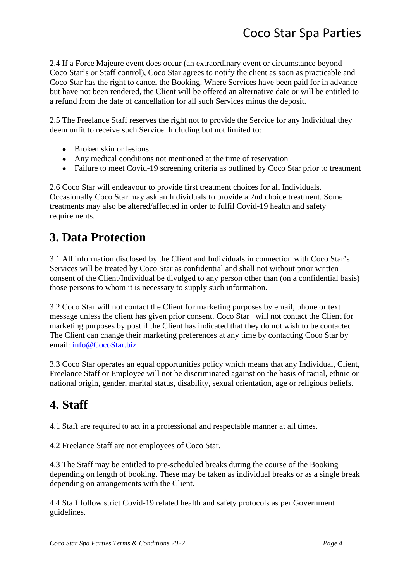2.4 If a Force Majeure event does occur (an extraordinary event or circumstance beyond Coco Star's or Staff control), Coco Star agrees to notify the client as soon as practicable and Coco Star has the right to cancel the Booking. Where Services have been paid for in advance but have not been rendered, the Client will be offered an alternative date or will be entitled to a refund from the date of cancellation for all such Services minus the deposit.

2.5 The Freelance Staff reserves the right not to provide the Service for any Individual they deem unfit to receive such Service. Including but not limited to:

- Broken skin or lesions
- Any medical conditions not mentioned at the time of reservation
- Failure to meet Covid-19 screening criteria as outlined by Coco Star prior to treatment

2.6 Coco Star will endeavour to provide first treatment choices for all Individuals. Occasionally Coco Star may ask an Individuals to provide a 2nd choice treatment. Some treatments may also be altered/affected in order to fulfil Covid-19 health and safety requirements.

#### <span id="page-3-0"></span>**3. Data Protection**

3.1 All information disclosed by the Client and Individuals in connection with Coco Star's Services will be treated by Coco Star as confidential and shall not without prior written consent of the Client/Individual be divulged to any person other than (on a confidential basis) those persons to whom it is necessary to supply such information.

3.2 Coco Star will not contact the Client for marketing purposes by email, phone or text message unless the client has given prior consent. Coco Star will not contact the Client for marketing purposes by post if the Client has indicated that they do not wish to be contacted. The Client can change their marketing preferences at any time by contacting Coco Star by email: [info@CocoStar.biz](mailto:info@CocoStar.biz)

3.3 Coco Star operates an equal opportunities policy which means that any Individual, Client, Freelance Staff or Employee will not be discriminated against on the basis of racial, ethnic or national origin, gender, marital status, disability, sexual orientation, age or religious beliefs.

#### <span id="page-3-1"></span>**4. Staff**

4.1 Staff are required to act in a professional and respectable manner at all times.

4.2 Freelance Staff are not employees of Coco Star.

4.3 The Staff may be entitled to pre-scheduled breaks during the course of the Booking depending on length of booking. These may be taken as individual breaks or as a single break depending on arrangements with the Client.

4.4 Staff follow strict Covid-19 related health and safety protocols as per Government guidelines.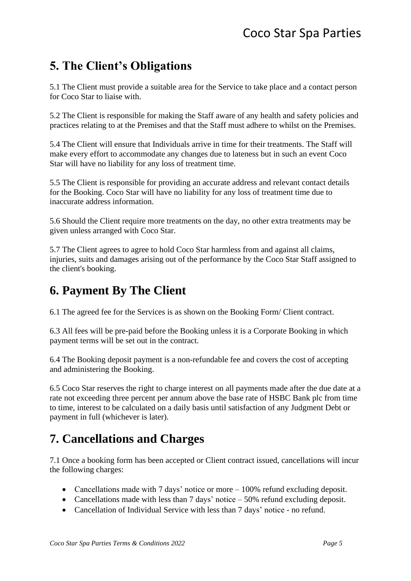#### <span id="page-4-0"></span>**5. The Client's Obligations**

5.1 The Client must provide a suitable area for the Service to take place and a contact person for Coco Star to liaise with.

5.2 The Client is responsible for making the Staff aware of any health and safety policies and practices relating to at the Premises and that the Staff must adhere to whilst on the Premises.

5.4 The Client will ensure that Individuals arrive in time for their treatments. The Staff will make every effort to accommodate any changes due to lateness but in such an event Coco Star will have no liability for any loss of treatment time.

5.5 The Client is responsible for providing an accurate address and relevant contact details for the Booking. Coco Star will have no liability for any loss of treatment time due to inaccurate address information.

5.6 Should the Client require more treatments on the day, no other extra treatments may be given unless arranged with Coco Star.

5.7 The Client agrees to agree to hold Coco Star harmless from and against all claims, injuries, suits and damages arising out of the performance by the Coco Star Staff assigned to the client's booking.

#### <span id="page-4-1"></span>**6. Payment By The Client**

6.1 The agreed fee for the Services is as shown on the Booking Form/ Client contract.

6.3 All fees will be pre-paid before the Booking unless it is a Corporate Booking in which payment terms will be set out in the contract.

6.4 The Booking deposit payment is a non-refundable fee and covers the cost of accepting and administering the Booking.

6.5 Coco Star reserves the right to charge interest on all payments made after the due date at a rate not exceeding three percent per annum above the base rate of HSBC Bank plc from time to time, interest to be calculated on a daily basis until satisfaction of any Judgment Debt or payment in full (whichever is later).

#### <span id="page-4-2"></span>**7. Cancellations and Charges**

7.1 Once a booking form has been accepted or Client contract issued, cancellations will incur the following charges:

- Cancellations made with 7 days' notice or more 100% refund excluding deposit.
- Cancellations made with less than 7 days' notice 50% refund excluding deposit.
- Cancellation of Individual Service with less than 7 days' notice no refund.